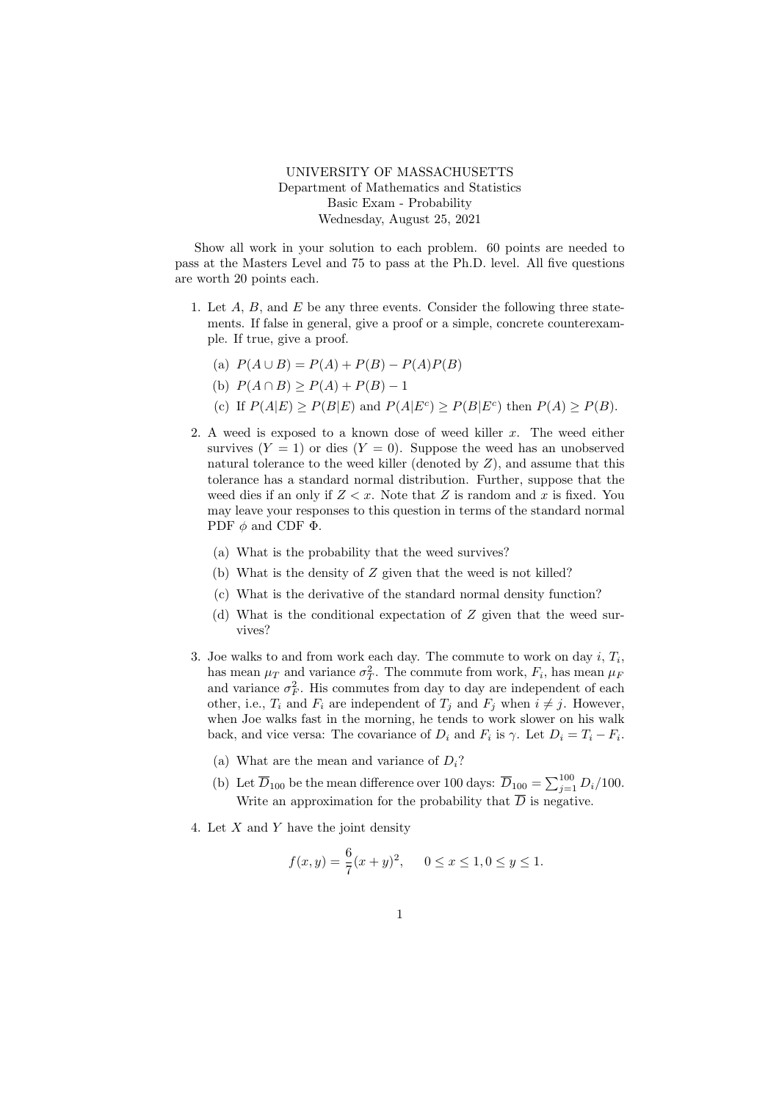UNIVERSITY OF MASSACHUSETTS Department of Mathematics and Statistics Basic Exam - Probability Wednesday, August 25, 2021

Show all work in your solution to each problem. 60 points are needed to pass at the Masters Level and 75 to pass at the Ph.D. level. All five questions are worth 20 points each.

- 1. Let  $A$ ,  $B$ , and  $E$  be any three events. Consider the following three statements. If false in general, give a proof or a simple, concrete counterexample. If true, give a proof.
	- (a)  $P(A \cup B) = P(A) + P(B) P(A)P(B)$
	- (b)  $P(A \cap B) > P(A) + P(B) 1$
	- (c) If  $P(A|E) \ge P(B|E)$  and  $P(A|E^c) \ge P(B|E^c)$  then  $P(A) \ge P(B)$ .
- 2. A weed is exposed to a known dose of weed killer  $x$ . The weed either survives  $(Y = 1)$  or dies  $(Y = 0)$ . Suppose the weed has an unobserved natural tolerance to the weed killer (denoted by  $Z$ ), and assume that this tolerance has a standard normal distribution. Further, suppose that the weed dies if an only if  $Z \leq x$ . Note that Z is random and x is fixed. You may leave your responses to this question in terms of the standard normal PDF  $\phi$  and CDF  $\Phi$ .
	- (a) What is the probability that the weed survives?
	- (b) What is the density of Z given that the weed is not killed?
	- (c) What is the derivative of the standard normal density function?
	- (d) What is the conditional expectation of Z given that the weed survives?
- 3. Joe walks to and from work each day. The commute to work on day  $i, T_i$ , has mean  $\mu_T$  and variance  $\sigma_T^2$ . The commute from work,  $F_i$ , has mean  $\mu_F$ and variance  $\sigma_F^2$ . His commutes from day to day are independent of each other, i.e.,  $T_i$  and  $F_i$  are independent of  $T_j$  and  $F_j$  when  $i \neq j$ . However, when Joe walks fast in the morning, he tends to work slower on his walk back, and vice versa: The covariance of  $D_i$  and  $F_i$  is  $\gamma$ . Let  $D_i = T_i - F_i$ .
	- (a) What are the mean and variance of  $D_i$ ?
	- (b) Let  $\overline{D}_{100}$  be the mean difference over 100 days:  $\overline{D}_{100} = \sum_{j=1}^{100} D_i/100$ . Write an approximation for the probability that  $\overline{D}$  is negative.
- 4. Let X and Y have the joint density

$$
f(x,y) = \frac{6}{7}(x+y)^2, \quad 0 \le x \le 1, 0 \le y \le 1.
$$